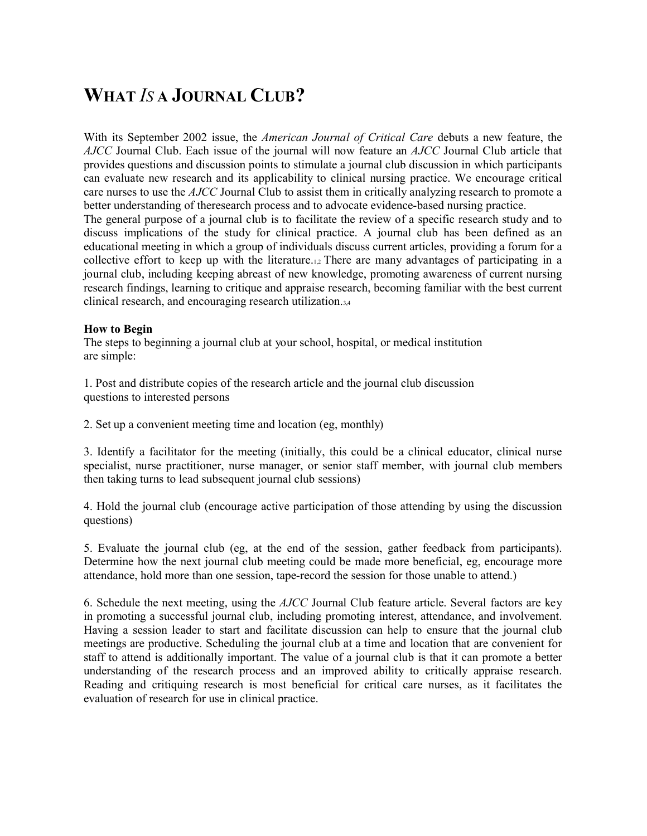# **WHAT** *IS* **A JOURNAL CLUB?**

With its September 2002 issue, the *American Journal of Critical Care* debuts a new feature, the *AJCC* Journal Club. Each issue of the journal will now feature an *AJCC* Journal Club article that provides questions and discussion points to stimulate a journal club discussion in which participants can evaluate new research and its applicability to clinical nursing practice. We encourage critical care nurses to use the *AJCC* Journal Club to assist them in critically analyzing research to promote a better understanding of theresearch process and to advocate evidence-based nursing practice. The general purpose of a journal club is to facilitate the review of a specific research study and to discuss implications of the study for clinical practice. A journal club has been defined as an educational meeting in which a group of individuals discuss current articles, providing a forum for a collective effort to keep up with the literature.1,2 There are many advantages of participating in a journal club, including keeping abreast of new knowledge, promoting awareness of current nursing research findings, learning to critique and appraise research, becoming familiar with the best current clinical research, and encouraging research utilization.3,4

#### **How to Begin**

The steps to beginning a journal club at your school, hospital, or medical institution are simple:

1. Post and distribute copies of the research article and the journal club discussion questions to interested persons

2. Set up a convenient meeting time and location (eg, monthly)

3. Identify a facilitator for the meeting (initially, this could be a clinical educator, clinical nurse specialist, nurse practitioner, nurse manager, or senior staff member, with journal club members then taking turns to lead subsequent journal club sessions)

4. Hold the journal club (encourage active participation of those attending by using the discussion questions)

5. Evaluate the journal club (eg, at the end of the session, gather feedback from participants). Determine how the next journal club meeting could be made more beneficial, eg, encourage more attendance, hold more than one session, tape-record the session for those unable to attend.)

6. Schedule the next meeting, using the *AJCC* Journal Club feature article. Several factors are key in promoting a successful journal club, including promoting interest, attendance, and involvement. Having a session leader to start and facilitate discussion can help to ensure that the journal club meetings are productive. Scheduling the journal club at a time and location that are convenient for staff to attend is additionally important. The value of a journal club is that it can promote a better understanding of the research process and an improved ability to critically appraise research. Reading and critiquing research is most beneficial for critical care nurses, as it facilitates the evaluation of research for use in clinical practice.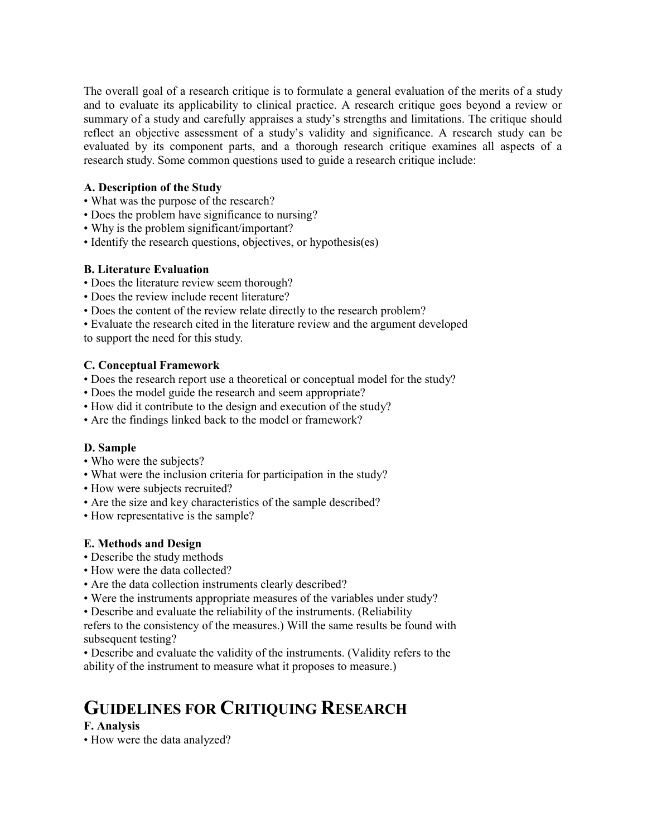The overall goal of a research critique is to formulate a general evaluation of the merits of a study and to evaluate its applicability to clinical practice. A research critique goes beyond a review or summary of a study and carefully appraises a study's strengths and limitations. The critique should reflect an objective assessment of a study's validity and significance. A research study can be evaluated by its component parts, and a thorough research critique examines all aspects of a research study. Some common questions used to guide a research critique include:

#### **A. Description of the Study**

- What was the purpose of the research?
- Does the problem have significance to nursing?
- Why is the problem significant/important?
- Identify the research questions, objectives, or hypothesis(es)

### **B. Literature Evaluation**

- Does the literature review seem thorough?
- Does the review include recent literature?
- Does the content of the review relate directly to the research problem?

• Evaluate the research cited in the literature review and the argument developed to support the need for this study.

### **C. Conceptual Framework**

- Does the research report use a theoretical or conceptual model for the study?
- Does the model guide the research and seem appropriate?
- How did it contribute to the design and execution of the study?
- Are the findings linked back to the model or framework?

## **D. Sample**

- Who were the subjects?
- What were the inclusion criteria for participation in the study?
- How were subjects recruited?
- Are the size and key characteristics of the sample described?
- How representative is the sample?

#### **E. Methods and Design**

- Describe the study methods
- How were the data collected?
- Are the data collection instruments clearly described?
- Were the instruments appropriate measures of the variables under study?

• Describe and evaluate the reliability of the instruments. (Reliability

refers to the consistency of the measures.) Will the same results be found with subsequent testing?

• Describe and evaluate the validity of the instruments. (Validity refers to the ability of the instrument to measure what it proposes to measure.)

# **GUIDELINES FOR CRITIQUING RESEARCH**

## **F. Analysis**

• How were the data analyzed?